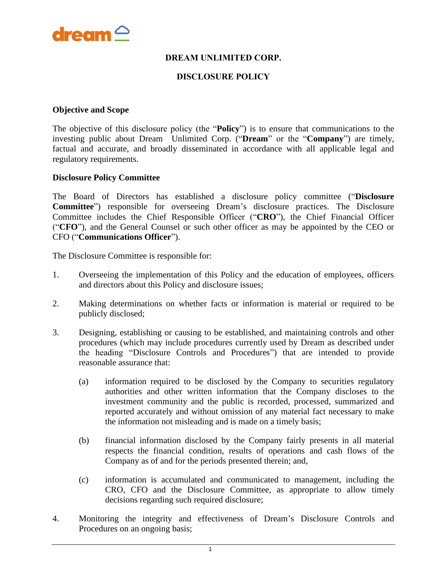

### **DREAM UNLIMITED CORP.**

#### **DISCLOSURE POLICY**

#### **Objective and Scope**

The objective of this disclosure policy (the "**Policy**") is to ensure that communications to the investing public about Dream Unlimited Corp. ("**Dream**" or the "**Company**") are timely, factual and accurate, and broadly disseminated in accordance with all applicable legal and regulatory requirements.

#### **Disclosure Policy Committee**

The Board of Directors has established a disclosure policy committee ("**Disclosure Committee**") responsible for overseeing Dream's disclosure practices. The Disclosure Committee includes the Chief Responsible Officer ("**CRO**"), the Chief Financial Officer ("**CFO**"), and the General Counsel or such other officer as may be appointed by the CEO or CFO ("**Communications Officer**").

The Disclosure Committee is responsible for:

- 1. Overseeing the implementation of this Policy and the education of employees, officers and directors about this Policy and disclosure issues;
- 2. Making determinations on whether facts or information is material or required to be publicly disclosed;
- 3. Designing, establishing or causing to be established, and maintaining controls and other procedures (which may include procedures currently used by Dream as described under the heading "Disclosure Controls and Procedures") that are intended to provide reasonable assurance that:
	- (a) information required to be disclosed by the Company to securities regulatory authorities and other written information that the Company discloses to the investment community and the public is recorded, processed, summarized and reported accurately and without omission of any material fact necessary to make the information not misleading and is made on a timely basis;
	- (b) financial information disclosed by the Company fairly presents in all material respects the financial condition, results of operations and cash flows of the Company as of and for the periods presented therein; and,
	- (c) information is accumulated and communicated to management, including the CRO, CFO and the Disclosure Committee, as appropriate to allow timely decisions regarding such required disclosure;
- 4. Monitoring the integrity and effectiveness of Dream's Disclosure Controls and Procedures on an ongoing basis;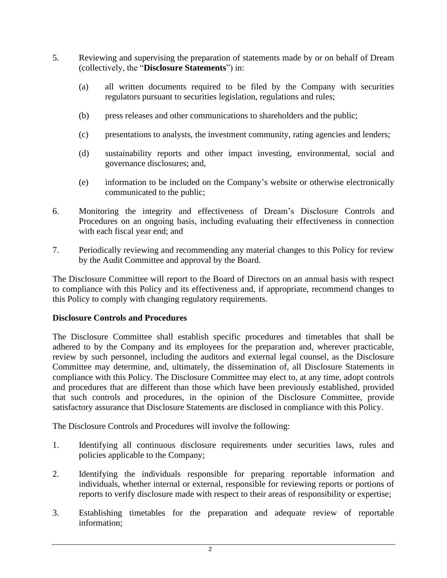- 5. Reviewing and supervising the preparation of statements made by or on behalf of Dream (collectively, the "**Disclosure Statements**") in:
	- (a) all written documents required to be filed by the Company with securities regulators pursuant to securities legislation, regulations and rules;
	- (b) press releases and other communications to shareholders and the public;
	- (c) presentations to analysts, the investment community, rating agencies and lenders;
	- (d) sustainability reports and other impact investing, environmental, social and governance disclosures; and,
	- (e) information to be included on the Company's website or otherwise electronically communicated to the public;
- 6. Monitoring the integrity and effectiveness of Dream's Disclosure Controls and Procedures on an ongoing basis, including evaluating their effectiveness in connection with each fiscal year end; and
- 7. Periodically reviewing and recommending any material changes to this Policy for review by the Audit Committee and approval by the Board.

The Disclosure Committee will report to the Board of Directors on an annual basis with respect to compliance with this Policy and its effectiveness and, if appropriate, recommend changes to this Policy to comply with changing regulatory requirements.

### **Disclosure Controls and Procedures**

The Disclosure Committee shall establish specific procedures and timetables that shall be adhered to by the Company and its employees for the preparation and, wherever practicable, review by such personnel, including the auditors and external legal counsel, as the Disclosure Committee may determine, and, ultimately, the dissemination of, all Disclosure Statements in compliance with this Policy. The Disclosure Committee may elect to, at any time, adopt controls and procedures that are different than those which have been previously established, provided that such controls and procedures, in the opinion of the Disclosure Committee, provide satisfactory assurance that Disclosure Statements are disclosed in compliance with this Policy.

The Disclosure Controls and Procedures will involve the following:

- 1. Identifying all continuous disclosure requirements under securities laws, rules and policies applicable to the Company;
- 2. Identifying the individuals responsible for preparing reportable information and individuals, whether internal or external, responsible for reviewing reports or portions of reports to verify disclosure made with respect to their areas of responsibility or expertise;
- 3. Establishing timetables for the preparation and adequate review of reportable information;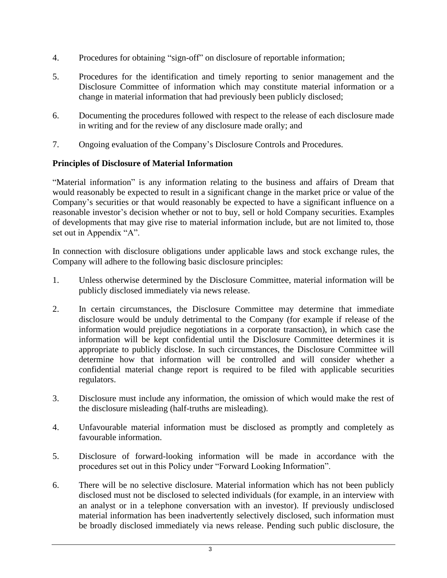- 4. Procedures for obtaining "sign-off" on disclosure of reportable information;
- 5. Procedures for the identification and timely reporting to senior management and the Disclosure Committee of information which may constitute material information or a change in material information that had previously been publicly disclosed;
- 6. Documenting the procedures followed with respect to the release of each disclosure made in writing and for the review of any disclosure made orally; and
- 7. Ongoing evaluation of the Company's Disclosure Controls and Procedures.

# **Principles of Disclosure of Material Information**

"Material information" is any information relating to the business and affairs of Dream that would reasonably be expected to result in a significant change in the market price or value of the Company's securities or that would reasonably be expected to have a significant influence on a reasonable investor's decision whether or not to buy, sell or hold Company securities. Examples of developments that may give rise to material information include, but are not limited to, those set out in Appendix "A".

In connection with disclosure obligations under applicable laws and stock exchange rules, the Company will adhere to the following basic disclosure principles:

- 1. Unless otherwise determined by the Disclosure Committee, material information will be publicly disclosed immediately via news release.
- 2. In certain circumstances, the Disclosure Committee may determine that immediate disclosure would be unduly detrimental to the Company (for example if release of the information would prejudice negotiations in a corporate transaction), in which case the information will be kept confidential until the Disclosure Committee determines it is appropriate to publicly disclose. In such circumstances, the Disclosure Committee will determine how that information will be controlled and will consider whether a confidential material change report is required to be filed with applicable securities regulators.
- 3. Disclosure must include any information, the omission of which would make the rest of the disclosure misleading (half-truths are misleading).
- 4. Unfavourable material information must be disclosed as promptly and completely as favourable information.
- 5. Disclosure of forward-looking information will be made in accordance with the procedures set out in this Policy under "Forward Looking Information".
- 6. There will be no selective disclosure. Material information which has not been publicly disclosed must not be disclosed to selected individuals (for example, in an interview with an analyst or in a telephone conversation with an investor). If previously undisclosed material information has been inadvertently selectively disclosed, such information must be broadly disclosed immediately via news release. Pending such public disclosure, the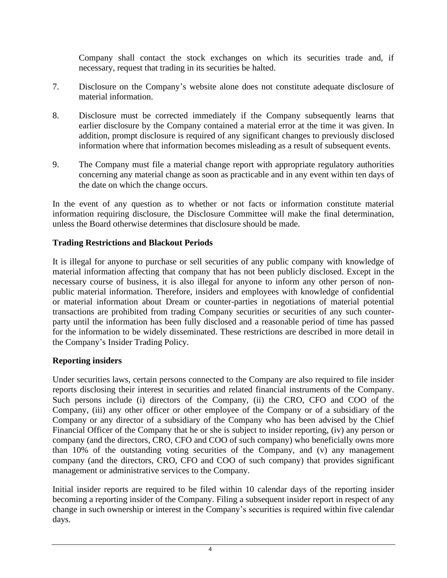Company shall contact the stock exchanges on which its securities trade and, if necessary, request that trading in its securities be halted.

- 7. Disclosure on the Company's website alone does not constitute adequate disclosure of material information.
- 8. Disclosure must be corrected immediately if the Company subsequently learns that earlier disclosure by the Company contained a material error at the time it was given. In addition, prompt disclosure is required of any significant changes to previously disclosed information where that information becomes misleading as a result of subsequent events.
- 9. The Company must file a material change report with appropriate regulatory authorities concerning any material change as soon as practicable and in any event within ten days of the date on which the change occurs.

In the event of any question as to whether or not facts or information constitute material information requiring disclosure, the Disclosure Committee will make the final determination, unless the Board otherwise determines that disclosure should be made.

# **Trading Restrictions and Blackout Periods**

It is illegal for anyone to purchase or sell securities of any public company with knowledge of material information affecting that company that has not been publicly disclosed. Except in the necessary course of business, it is also illegal for anyone to inform any other person of nonpublic material information. Therefore, insiders and employees with knowledge of confidential or material information about Dream or counter-parties in negotiations of material potential transactions are prohibited from trading Company securities or securities of any such counterparty until the information has been fully disclosed and a reasonable period of time has passed for the information to be widely disseminated. These restrictions are described in more detail in the Company's Insider Trading Policy.

# **Reporting insiders**

Under securities laws, certain persons connected to the Company are also required to file insider reports disclosing their interest in securities and related financial instruments of the Company. Such persons include (i) directors of the Company, (ii) the CRO, CFO and COO of the Company, (iii) any other officer or other employee of the Company or of a subsidiary of the Company or any director of a subsidiary of the Company who has been advised by the Chief Financial Officer of the Company that he or she is subject to insider reporting, (iv) any person or company (and the directors, CRO, CFO and COO of such company) who beneficially owns more than 10% of the outstanding voting securities of the Company, and (v) any management company (and the directors, CRO, CFO and COO of such company) that provides significant management or administrative services to the Company.

Initial insider reports are required to be filed within 10 calendar days of the reporting insider becoming a reporting insider of the Company. Filing a subsequent insider report in respect of any change in such ownership or interest in the Company's securities is required within five calendar days.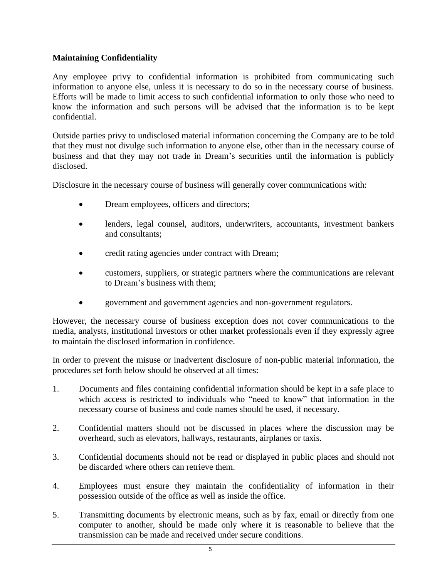### **Maintaining Confidentiality**

Any employee privy to confidential information is prohibited from communicating such information to anyone else, unless it is necessary to do so in the necessary course of business. Efforts will be made to limit access to such confidential information to only those who need to know the information and such persons will be advised that the information is to be kept confidential.

Outside parties privy to undisclosed material information concerning the Company are to be told that they must not divulge such information to anyone else, other than in the necessary course of business and that they may not trade in Dream's securities until the information is publicly disclosed.

Disclosure in the necessary course of business will generally cover communications with:

- Dream employees, officers and directors;
- lenders, legal counsel, auditors, underwriters, accountants, investment bankers and consultants;
- credit rating agencies under contract with Dream;
- customers, suppliers, or strategic partners where the communications are relevant to Dream's business with them;
- government and government agencies and non-government regulators.

However, the necessary course of business exception does not cover communications to the media, analysts, institutional investors or other market professionals even if they expressly agree to maintain the disclosed information in confidence.

In order to prevent the misuse or inadvertent disclosure of non-public material information, the procedures set forth below should be observed at all times:

- 1. Documents and files containing confidential information should be kept in a safe place to which access is restricted to individuals who "need to know" that information in the necessary course of business and code names should be used, if necessary.
- 2. Confidential matters should not be discussed in places where the discussion may be overheard, such as elevators, hallways, restaurants, airplanes or taxis.
- 3. Confidential documents should not be read or displayed in public places and should not be discarded where others can retrieve them.
- 4. Employees must ensure they maintain the confidentiality of information in their possession outside of the office as well as inside the office.
- 5. Transmitting documents by electronic means, such as by fax, email or directly from one computer to another, should be made only where it is reasonable to believe that the transmission can be made and received under secure conditions.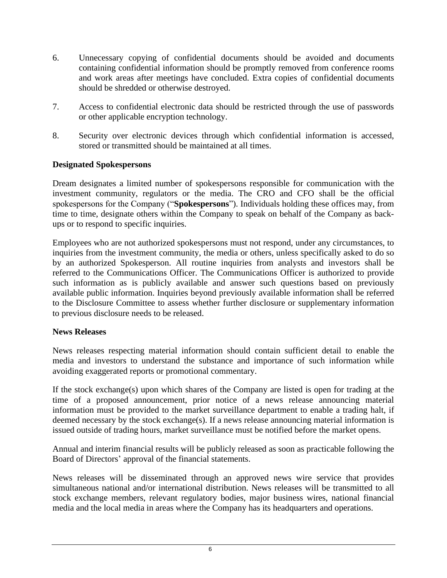- 6. Unnecessary copying of confidential documents should be avoided and documents containing confidential information should be promptly removed from conference rooms and work areas after meetings have concluded. Extra copies of confidential documents should be shredded or otherwise destroyed.
- 7. Access to confidential electronic data should be restricted through the use of passwords or other applicable encryption technology.
- 8. Security over electronic devices through which confidential information is accessed, stored or transmitted should be maintained at all times.

### **Designated Spokespersons**

Dream designates a limited number of spokespersons responsible for communication with the investment community, regulators or the media. The CRO and CFO shall be the official spokespersons for the Company ("**Spokespersons**"). Individuals holding these offices may, from time to time, designate others within the Company to speak on behalf of the Company as backups or to respond to specific inquiries.

Employees who are not authorized spokespersons must not respond, under any circumstances, to inquiries from the investment community, the media or others, unless specifically asked to do so by an authorized Spokesperson. All routine inquiries from analysts and investors shall be referred to the Communications Officer. The Communications Officer is authorized to provide such information as is publicly available and answer such questions based on previously available public information. Inquiries beyond previously available information shall be referred to the Disclosure Committee to assess whether further disclosure or supplementary information to previous disclosure needs to be released.

### **News Releases**

News releases respecting material information should contain sufficient detail to enable the media and investors to understand the substance and importance of such information while avoiding exaggerated reports or promotional commentary.

If the stock exchange(s) upon which shares of the Company are listed is open for trading at the time of a proposed announcement, prior notice of a news release announcing material information must be provided to the market surveillance department to enable a trading halt, if deemed necessary by the stock exchange(s). If a news release announcing material information is issued outside of trading hours, market surveillance must be notified before the market opens.

Annual and interim financial results will be publicly released as soon as practicable following the Board of Directors' approval of the financial statements.

News releases will be disseminated through an approved news wire service that provides simultaneous national and/or international distribution. News releases will be transmitted to all stock exchange members, relevant regulatory bodies, major business wires, national financial media and the local media in areas where the Company has its headquarters and operations.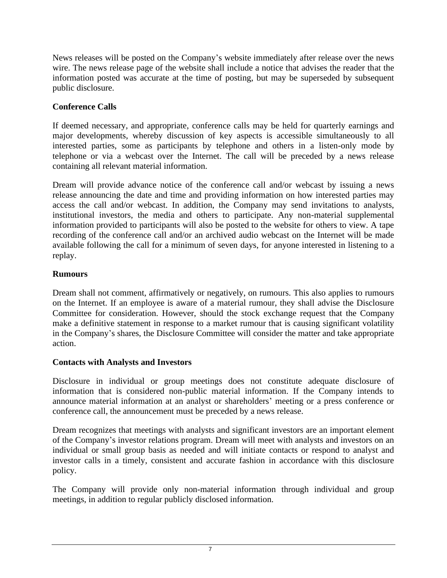News releases will be posted on the Company's website immediately after release over the news wire. The news release page of the website shall include a notice that advises the reader that the information posted was accurate at the time of posting, but may be superseded by subsequent public disclosure.

# **Conference Calls**

If deemed necessary, and appropriate, conference calls may be held for quarterly earnings and major developments, whereby discussion of key aspects is accessible simultaneously to all interested parties, some as participants by telephone and others in a listen-only mode by telephone or via a webcast over the Internet. The call will be preceded by a news release containing all relevant material information.

Dream will provide advance notice of the conference call and/or webcast by issuing a news release announcing the date and time and providing information on how interested parties may access the call and/or webcast. In addition, the Company may send invitations to analysts, institutional investors, the media and others to participate. Any non-material supplemental information provided to participants will also be posted to the website for others to view. A tape recording of the conference call and/or an archived audio webcast on the Internet will be made available following the call for a minimum of seven days, for anyone interested in listening to a replay.

# **Rumours**

Dream shall not comment, affirmatively or negatively, on rumours. This also applies to rumours on the Internet. If an employee is aware of a material rumour, they shall advise the Disclosure Committee for consideration. However, should the stock exchange request that the Company make a definitive statement in response to a market rumour that is causing significant volatility in the Company's shares, the Disclosure Committee will consider the matter and take appropriate action.

# **Contacts with Analysts and Investors**

Disclosure in individual or group meetings does not constitute adequate disclosure of information that is considered non-public material information. If the Company intends to announce material information at an analyst or shareholders' meeting or a press conference or conference call, the announcement must be preceded by a news release.

Dream recognizes that meetings with analysts and significant investors are an important element of the Company's investor relations program. Dream will meet with analysts and investors on an individual or small group basis as needed and will initiate contacts or respond to analyst and investor calls in a timely, consistent and accurate fashion in accordance with this disclosure policy.

The Company will provide only non-material information through individual and group meetings, in addition to regular publicly disclosed information.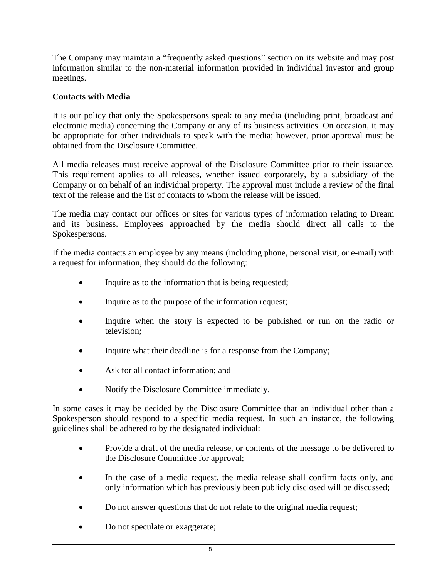The Company may maintain a "frequently asked questions" section on its website and may post information similar to the non-material information provided in individual investor and group meetings.

### **Contacts with Media**

It is our policy that only the Spokespersons speak to any media (including print, broadcast and electronic media) concerning the Company or any of its business activities. On occasion, it may be appropriate for other individuals to speak with the media; however, prior approval must be obtained from the Disclosure Committee.

All media releases must receive approval of the Disclosure Committee prior to their issuance. This requirement applies to all releases, whether issued corporately, by a subsidiary of the Company or on behalf of an individual property. The approval must include a review of the final text of the release and the list of contacts to whom the release will be issued.

The media may contact our offices or sites for various types of information relating to Dream and its business. Employees approached by the media should direct all calls to the Spokespersons.

If the media contacts an employee by any means (including phone, personal visit, or e-mail) with a request for information, they should do the following:

- Inquire as to the information that is being requested;
- Inquire as to the purpose of the information request;
- Inquire when the story is expected to be published or run on the radio or television;
- Inquire what their deadline is for a response from the Company;
- Ask for all contact information; and
- Notify the Disclosure Committee immediately.

In some cases it may be decided by the Disclosure Committee that an individual other than a Spokesperson should respond to a specific media request. In such an instance, the following guidelines shall be adhered to by the designated individual:

- Provide a draft of the media release, or contents of the message to be delivered to the Disclosure Committee for approval;
- In the case of a media request, the media release shall confirm facts only, and only information which has previously been publicly disclosed will be discussed;
- Do not answer questions that do not relate to the original media request;
- Do not speculate or exaggerate;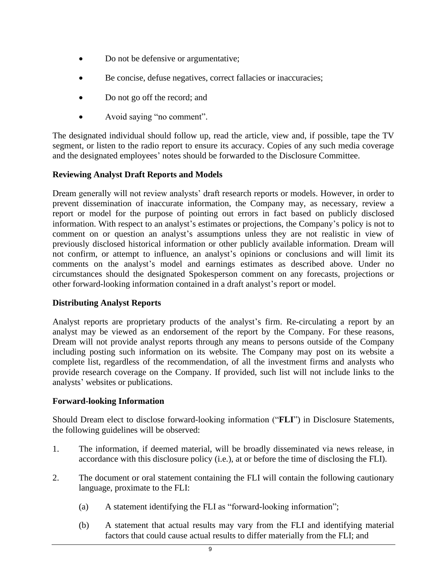- Do not be defensive or argumentative;
- Be concise, defuse negatives, correct fallacies or inaccuracies;
- Do not go off the record; and
- Avoid saying "no comment".

The designated individual should follow up, read the article, view and, if possible, tape the TV segment, or listen to the radio report to ensure its accuracy. Copies of any such media coverage and the designated employees' notes should be forwarded to the Disclosure Committee.

### **Reviewing Analyst Draft Reports and Models**

Dream generally will not review analysts' draft research reports or models. However, in order to prevent dissemination of inaccurate information, the Company may, as necessary, review a report or model for the purpose of pointing out errors in fact based on publicly disclosed information. With respect to an analyst's estimates or projections, the Company's policy is not to comment on or question an analyst's assumptions unless they are not realistic in view of previously disclosed historical information or other publicly available information. Dream will not confirm, or attempt to influence, an analyst's opinions or conclusions and will limit its comments on the analyst's model and earnings estimates as described above. Under no circumstances should the designated Spokesperson comment on any forecasts, projections or other forward-looking information contained in a draft analyst's report or model.

### **Distributing Analyst Reports**

Analyst reports are proprietary products of the analyst's firm. Re-circulating a report by an analyst may be viewed as an endorsement of the report by the Company. For these reasons, Dream will not provide analyst reports through any means to persons outside of the Company including posting such information on its website. The Company may post on its website a complete list, regardless of the recommendation, of all the investment firms and analysts who provide research coverage on the Company. If provided, such list will not include links to the analysts' websites or publications.

### **Forward-looking Information**

Should Dream elect to disclose forward-looking information ("**FLI**") in Disclosure Statements, the following guidelines will be observed:

- 1. The information, if deemed material, will be broadly disseminated via news release, in accordance with this disclosure policy (i.e.), at or before the time of disclosing the FLI).
- 2. The document or oral statement containing the FLI will contain the following cautionary language, proximate to the FLI:
	- (a) A statement identifying the FLI as "forward-looking information";
	- (b) A statement that actual results may vary from the FLI and identifying material factors that could cause actual results to differ materially from the FLI; and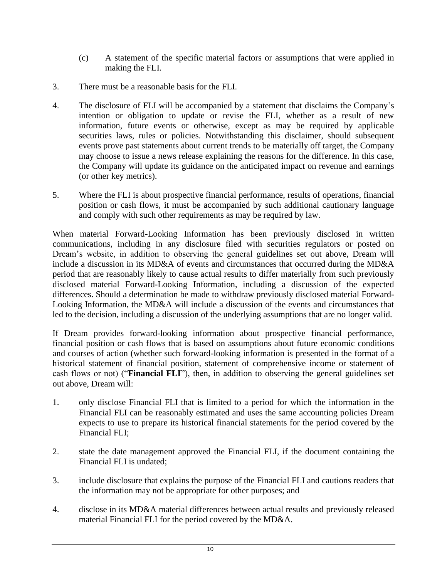- (c) A statement of the specific material factors or assumptions that were applied in making the FLI.
- 3. There must be a reasonable basis for the FLI.
- 4. The disclosure of FLI will be accompanied by a statement that disclaims the Company's intention or obligation to update or revise the FLI, whether as a result of new information, future events or otherwise, except as may be required by applicable securities laws, rules or policies. Notwithstanding this disclaimer, should subsequent events prove past statements about current trends to be materially off target, the Company may choose to issue a news release explaining the reasons for the difference. In this case, the Company will update its guidance on the anticipated impact on revenue and earnings (or other key metrics).
- 5. Where the FLI is about prospective financial performance, results of operations, financial position or cash flows, it must be accompanied by such additional cautionary language and comply with such other requirements as may be required by law.

When material Forward-Looking Information has been previously disclosed in written communications, including in any disclosure filed with securities regulators or posted on Dream's website, in addition to observing the general guidelines set out above, Dream will include a discussion in its MD&A of events and circumstances that occurred during the MD&A period that are reasonably likely to cause actual results to differ materially from such previously disclosed material Forward-Looking Information, including a discussion of the expected differences. Should a determination be made to withdraw previously disclosed material Forward-Looking Information, the MD&A will include a discussion of the events and circumstances that led to the decision, including a discussion of the underlying assumptions that are no longer valid.

If Dream provides forward-looking information about prospective financial performance, financial position or cash flows that is based on assumptions about future economic conditions and courses of action (whether such forward-looking information is presented in the format of a historical statement of financial position, statement of comprehensive income or statement of cash flows or not) ("**Financial FLI**"), then, in addition to observing the general guidelines set out above, Dream will:

- 1. only disclose Financial FLI that is limited to a period for which the information in the Financial FLI can be reasonably estimated and uses the same accounting policies Dream expects to use to prepare its historical financial statements for the period covered by the Financial FLI;
- 2. state the date management approved the Financial FLI, if the document containing the Financial FLI is undated;
- 3. include disclosure that explains the purpose of the Financial FLI and cautions readers that the information may not be appropriate for other purposes; and
- 4. disclose in its MD&A material differences between actual results and previously released material Financial FLI for the period covered by the MD&A.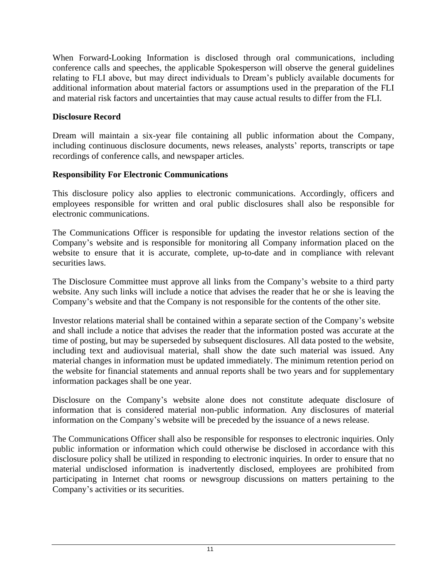When Forward-Looking Information is disclosed through oral communications, including conference calls and speeches, the applicable Spokesperson will observe the general guidelines relating to FLI above, but may direct individuals to Dream's publicly available documents for additional information about material factors or assumptions used in the preparation of the FLI and material risk factors and uncertainties that may cause actual results to differ from the FLI.

## **Disclosure Record**

Dream will maintain a six-year file containing all public information about the Company, including continuous disclosure documents, news releases, analysts' reports, transcripts or tape recordings of conference calls, and newspaper articles.

# **Responsibility For Electronic Communications**

This disclosure policy also applies to electronic communications. Accordingly, officers and employees responsible for written and oral public disclosures shall also be responsible for electronic communications.

The Communications Officer is responsible for updating the investor relations section of the Company's website and is responsible for monitoring all Company information placed on the website to ensure that it is accurate, complete, up-to-date and in compliance with relevant securities laws.

The Disclosure Committee must approve all links from the Company's website to a third party website. Any such links will include a notice that advises the reader that he or she is leaving the Company's website and that the Company is not responsible for the contents of the other site.

Investor relations material shall be contained within a separate section of the Company's website and shall include a notice that advises the reader that the information posted was accurate at the time of posting, but may be superseded by subsequent disclosures. All data posted to the website, including text and audiovisual material, shall show the date such material was issued. Any material changes in information must be updated immediately. The minimum retention period on the website for financial statements and annual reports shall be two years and for supplementary information packages shall be one year.

Disclosure on the Company's website alone does not constitute adequate disclosure of information that is considered material non-public information. Any disclosures of material information on the Company's website will be preceded by the issuance of a news release.

The Communications Officer shall also be responsible for responses to electronic inquiries. Only public information or information which could otherwise be disclosed in accordance with this disclosure policy shall be utilized in responding to electronic inquiries. In order to ensure that no material undisclosed information is inadvertently disclosed, employees are prohibited from participating in Internet chat rooms or newsgroup discussions on matters pertaining to the Company's activities or its securities.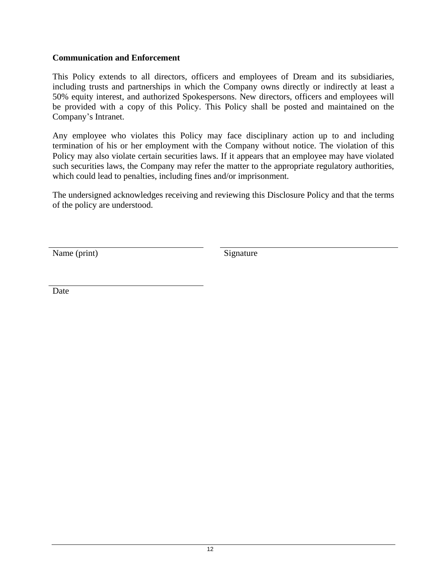### **Communication and Enforcement**

This Policy extends to all directors, officers and employees of Dream and its subsidiaries, including trusts and partnerships in which the Company owns directly or indirectly at least a 50% equity interest, and authorized Spokespersons. New directors, officers and employees will be provided with a copy of this Policy. This Policy shall be posted and maintained on the Company's Intranet.

Any employee who violates this Policy may face disciplinary action up to and including termination of his or her employment with the Company without notice. The violation of this Policy may also violate certain securities laws. If it appears that an employee may have violated such securities laws, the Company may refer the matter to the appropriate regulatory authorities, which could lead to penalties, including fines and/or imprisonment.

The undersigned acknowledges receiving and reviewing this Disclosure Policy and that the terms of the policy are understood.

Name (print) Signature

Date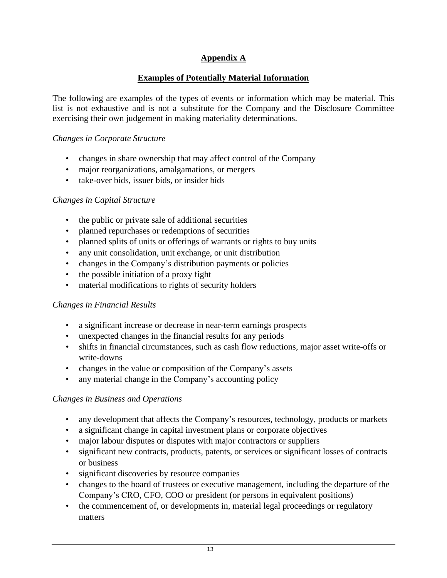# **Appendix A**

### **Examples of Potentially Material Information**

The following are examples of the types of events or information which may be material. This list is not exhaustive and is not a substitute for the Company and the Disclosure Committee exercising their own judgement in making materiality determinations.

### *Changes in Corporate Structure*

- changes in share ownership that may affect control of the Company
- major reorganizations, amalgamations, or mergers
- take-over bids, issuer bids, or insider bids

### *Changes in Capital Structure*

- the public or private sale of additional securities
- planned repurchases or redemptions of securities
- planned splits of units or offerings of warrants or rights to buy units
- any unit consolidation, unit exchange, or unit distribution
- changes in the Company's distribution payments or policies
- the possible initiation of a proxy fight
- material modifications to rights of security holders

### *Changes in Financial Results*

- a significant increase or decrease in near-term earnings prospects
- unexpected changes in the financial results for any periods
- shifts in financial circumstances, such as cash flow reductions, major asset write-offs or write-downs
- changes in the value or composition of the Company's assets
- any material change in the Company's accounting policy

### *Changes in Business and Operations*

- any development that affects the Company's resources, technology, products or markets
- a significant change in capital investment plans or corporate objectives
- major labour disputes or disputes with major contractors or suppliers
- significant new contracts, products, patents, or services or significant losses of contracts or business
- significant discoveries by resource companies
- changes to the board of trustees or executive management, including the departure of the Company's CRO, CFO, COO or president (or persons in equivalent positions)
- the commencement of, or developments in, material legal proceedings or regulatory matters